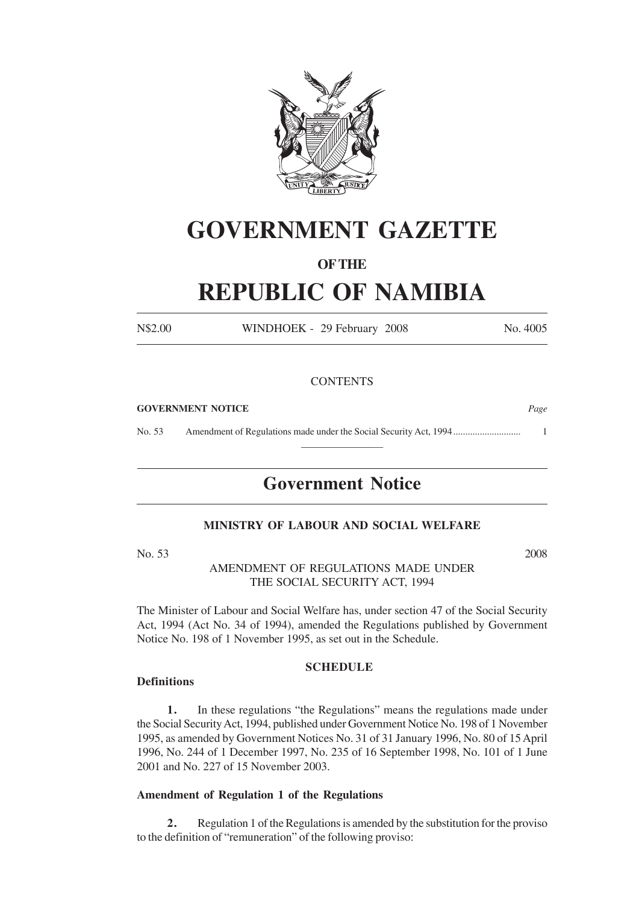

## **GOVERNMENT GAZETTE**

### **OF THE**

# **REPUBLIC OF NAMIBIA**

N\$2.00 WINDHOEK - 29 February 2008 No. 4005

#### **CONTENTS**

| <b>GOVERNMENT NOTICE</b> |  | Page |
|--------------------------|--|------|
| No. 53                   |  |      |
|                          |  |      |

## **Government Notice**

### **MINISTRY OF LABOUR AND SOCIAL WELFARE**

No. 53 2008

AMENDMENT OF REGULATIONS MADE UNDER THE SOCIAL SECURITY ACT, 1994

The Minister of Labour and Social Welfare has, under section 47 of the Social Security Act, 1994 (Act No. 34 of 1994), amended the Regulations published by Government Notice No. 198 of 1 November 1995, as set out in the Schedule.

#### **SCHEDULE**

#### **Definitions**

**1.** In these regulations "the Regulations" means the regulations made under the Social Security Act, 1994, published under Government Notice No. 198 of 1 November 1995, as amended by Government Notices No. 31 of 31 January 1996, No. 80 of 15 April 1996, No. 244 of 1 December 1997, No. 235 of 16 September 1998, No. 101 of 1 June 2001 and No. 227 of 15 November 2003.

#### **Amendment of Regulation 1 of the Regulations**

**2.** Regulation 1 of the Regulations is amended by the substitution for the proviso to the definition of "remuneration" of the following proviso: